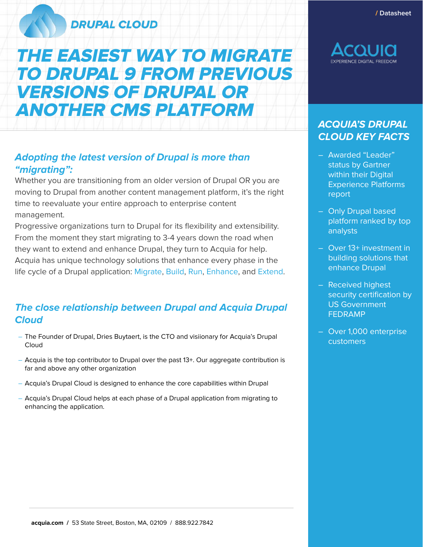### **DRUPAL CLOUD**

# THE EASIEST WAY TO MIGRATE TO DRUPAL 9 FROM PREVIOUS VERSIONS OF DRUPAL OR ANOTHER CMS PLATFORM

### **Adopting the latest version of Drupal is more than "migrating":**

Whether you are transitioning from an older version of Drupal OR you are moving to Drupal from another content management platform, it's the right time to reevaluate your entire approach to enterprise content management.

Progressive organizations turn to Drupal for its flexibility and extensibility. From the moment they start migrating to 3-4 years down the road when they want to extend and enhance Drupal, they turn to Acquia for help. Acquia has unique technology solutions that enhance every phase in the life cycle of a Drupal application: Migrate, Build, Run, Enhance, and Extend.

### **The close relationship between Drupal and Acquia Drupal Cloud**

- The Founder of Drupal, Dries Buytaert, is the CTO and visiionary for Acquia's Drupal Cloud
- Acquia is the top contributor to Drupal over the past 13+. Our aggregate contribution is far and above any other organization
- Acquia's Drupal Cloud is designed to enhance the core capabilities within Drupal
- Acquia's Drupal Cloud helps at each phase of a Drupal application from migrating to enhancing the application.



### **ACQUIA'S DRUPAL CLOUD KEY FACTS**

- Awarded "Leader" status by Gartner within their Digital Experience Platforms report
- Only Drupal based platform ranked by top analysts
- Over 13+ investment in building solutions that enhance Drupal
- Received highest security certification by US Government FEDRAMP
- Over 1,000 enterprise customers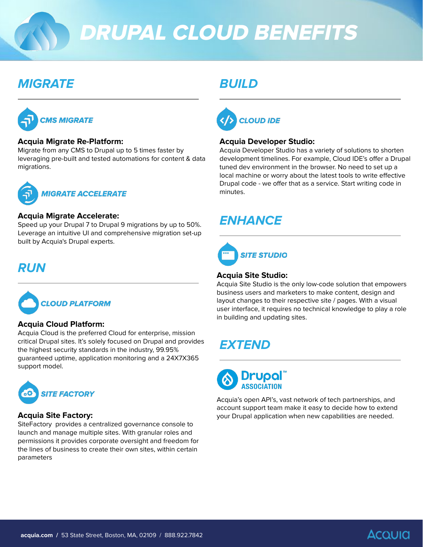# DRUPAL CLOUD BENEFITS

### **MIGRATE BUILD**



### **Acquia Migrate Re-Platform:**

Migrate from any CMS to Drupal up to 5 times faster by leveraging pre-built and tested automations for content & data migrations.



#### **Acquia Migrate Accelerate:**

Speed up your Drupal 7 to Drupal 9 migrations by up to 50%. Leverage an intuitive UI and comprehensive migration set-up built by Acquia's Drupal experts.



### **Acquia Cloud Platform:**

Acquia Cloud is the preferred Cloud for enterprise, mission critical Drupal sites. It's solely focused on Drupal and provides the highest security standards in the industry, 99.95% guaranteed uptime, application monitoring and a 24X7X365 support model.



### **Acquia Site Factory:**

SiteFactory provides a centralized governance console to launch and manage multiple sites. With granular roles and permissions it provides corporate oversight and freedom for the lines of business to create their own sites, within certain parameters



### **Acquia Developer Studio:**

Acquia Developer Studio has a variety of solutions to shorten development timelines. For example, Cloud IDE's offer a Drupal tuned dev environment in the browser. No need to set up a local machine or worry about the latest tools to write effective Drupal code - we offer that as a service. Start writing code in minutes.

### **ENHANCE**



## **RUN Acquia Site Studio:**

Acquia Site Studio is the only low-code solution that empowers business users and marketers to make content, design and layout changes to their respective site / pages. With a visual user interface, it requires no technical knowledge to play a role in building and updating sites.

## **EXTEND**



Acquia's open API's, vast network of tech partnerships, and account support team make it easy to decide how to extend your Drupal application when new capabilities are needed.